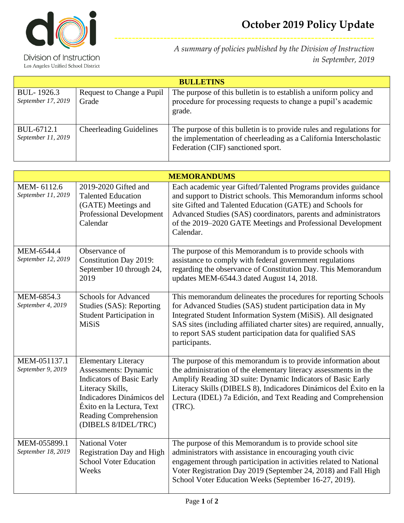

Division of Instruction Los Angeles Unified School District *A summary of policies published by the Division of Instruction in September, 2019*

**--------------------------------------------------------------------------**

| <b>BULLETINS</b>                 |                                    |                                                                                                                                                                                  |  |  |
|----------------------------------|------------------------------------|----------------------------------------------------------------------------------------------------------------------------------------------------------------------------------|--|--|
| BUL-1926.3<br>September 17, 2019 | Request to Change a Pupil<br>Grade | The purpose of this bulletin is to establish a uniform policy and<br>procedure for processing requests to change a pupil's academic<br>grade.                                    |  |  |
| BUL-6712.1<br>September 11, 2019 | <b>Cheerleading Guidelines</b>     | The purpose of this bulletin is to provide rules and regulations for<br>the implementation of cheerleading as a California Interscholastic<br>Federation (CIF) sanctioned sport. |  |  |

| <b>MEMORANDUMS</b>                 |                                                                                                                                                                                                                      |                                                                                                                                                                                                                                                                                                                                                          |  |  |
|------------------------------------|----------------------------------------------------------------------------------------------------------------------------------------------------------------------------------------------------------------------|----------------------------------------------------------------------------------------------------------------------------------------------------------------------------------------------------------------------------------------------------------------------------------------------------------------------------------------------------------|--|--|
| MEM-6112.6<br>September 11, 2019   | 2019-2020 Gifted and<br><b>Talented Education</b><br>(GATE) Meetings and<br><b>Professional Development</b><br>Calendar                                                                                              | Each academic year Gifted/Talented Programs provides guidance<br>and support to District schools. This Memorandum informs school<br>site Gifted and Talented Education (GATE) and Schools for<br>Advanced Studies (SAS) coordinators, parents and administrators<br>of the 2019–2020 GATE Meetings and Professional Development<br>Calendar.             |  |  |
| MEM-6544.4<br>September 12, 2019   | Observance of<br><b>Constitution Day 2019:</b><br>September 10 through 24,<br>2019                                                                                                                                   | The purpose of this Memorandum is to provide schools with<br>assistance to comply with federal government regulations<br>regarding the observance of Constitution Day. This Memorandum<br>updates MEM-6544.3 dated August 14, 2018.                                                                                                                      |  |  |
| MEM-6854.3<br>September 4, 2019    | <b>Schools for Advanced</b><br>Studies (SAS): Reporting<br><b>Student Participation in</b><br>MiSiS                                                                                                                  | This memorandum delineates the procedures for reporting Schools<br>for Advanced Studies (SAS) student participation data in My<br>Integrated Student Information System (MiSiS). All designated<br>SAS sites (including affiliated charter sites) are required, annually,<br>to report SAS student participation data for qualified SAS<br>participants. |  |  |
| MEM-051137.1<br>September 9, 2019  | <b>Elementary Literacy</b><br>Assessments: Dynamic<br><b>Indicators of Basic Early</b><br>Literacy Skills,<br>Indicadores Dinámicos del<br>Éxito en la Lectura, Text<br>Reading Comprehension<br>(DIBELS 8/IDEL/TRC) | The purpose of this memorandum is to provide information about<br>the administration of the elementary literacy assessments in the<br>Amplify Reading 3D suite: Dynamic Indicators of Basic Early<br>Literacy Skills (DIBELS 8), Indicadores Dinámicos del Éxito en la<br>Lectura (IDEL) 7a Edición, and Text Reading and Comprehension<br>(TRC).        |  |  |
| MEM-055899.1<br>September 18, 2019 | <b>National Voter</b><br><b>Registration Day and High</b><br><b>School Voter Education</b><br>Weeks                                                                                                                  | The purpose of this Memorandum is to provide school site<br>administrators with assistance in encouraging youth civic<br>engagement through participation in activities related to National<br>Voter Registration Day 2019 (September 24, 2018) and Fall High<br>School Voter Education Weeks (September 16-27, 2019).                                   |  |  |